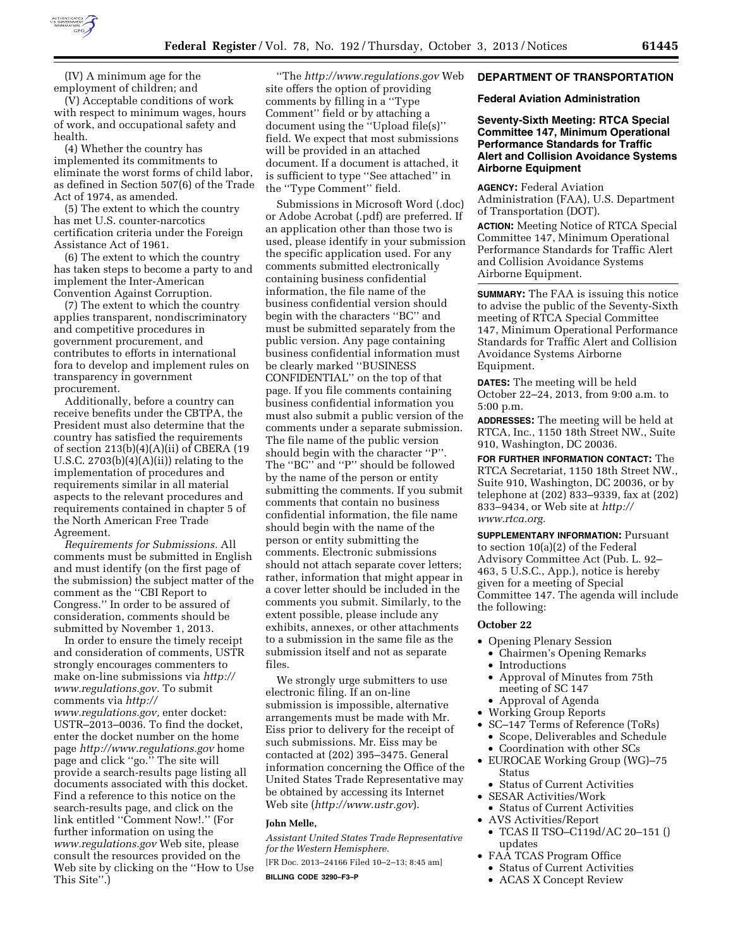

(IV) A minimum age for the employment of children; and

(V) Acceptable conditions of work with respect to minimum wages, hours of work, and occupational safety and health.

(4) Whether the country has implemented its commitments to eliminate the worst forms of child labor, as defined in Section 507(6) of the Trade Act of 1974, as amended.

(5) The extent to which the country has met U.S. counter-narcotics certification criteria under the Foreign Assistance Act of 1961.

(6) The extent to which the country has taken steps to become a party to and implement the Inter-American Convention Against Corruption.

(7) The extent to which the country applies transparent, nondiscriminatory and competitive procedures in government procurement, and contributes to efforts in international fora to develop and implement rules on transparency in government procurement.

Additionally, before a country can receive benefits under the CBTPA, the President must also determine that the country has satisfied the requirements of section 213(b)(4)(A)(ii) of CBERA (19 U.S.C.  $2703(b)(4)(A)(ii)$  relating to the implementation of procedures and requirements similar in all material aspects to the relevant procedures and requirements contained in chapter 5 of the North American Free Trade Agreement.

*Requirements for Submissions.* All comments must be submitted in English and must identify (on the first page of the submission) the subject matter of the comment as the ''CBI Report to Congress.'' In order to be assured of consideration, comments should be submitted by November 1, 2013.

In order to ensure the timely receipt and consideration of comments, USTR strongly encourages commenters to make on-line submissions via *[http://](http://www.regulations.gov) [www.regulations.gov.](http://www.regulations.gov)* To submit comments via *[http://](http://www.regulations.gov) [www.regulations.gov,](http://www.regulations.gov)* enter docket: USTR–2013–0036. To find the docket, enter the docket number on the home page *<http://www.regulations.gov>*home page and click ''go.'' The site will provide a search-results page listing all documents associated with this docket. Find a reference to this notice on the search-results page, and click on the link entitled ''Comment Now!.'' (For further information on using the *[www.regulations.gov](http://www.regulations.gov)* Web site, please consult the resources provided on the Web site by clicking on the ''How to Use This Site''.)

''The *<http://www.regulations.gov>*Web site offers the option of providing comments by filling in a ''Type Comment'' field or by attaching a document using the ''Upload file(s)'' field. We expect that most submissions will be provided in an attached document. If a document is attached, it is sufficient to type ''See attached'' in the ''Type Comment'' field.

Submissions in Microsoft Word (.doc) or Adobe Acrobat (.pdf) are preferred. If an application other than those two is used, please identify in your submission the specific application used. For any comments submitted electronically containing business confidential information, the file name of the business confidential version should begin with the characters ''BC'' and must be submitted separately from the public version. Any page containing business confidential information must be clearly marked ''BUSINESS CONFIDENTIAL'' on the top of that page. If you file comments containing business confidential information you must also submit a public version of the comments under a separate submission. The file name of the public version should begin with the character ''P''. The ''BC'' and ''P'' should be followed by the name of the person or entity submitting the comments. If you submit comments that contain no business confidential information, the file name should begin with the name of the person or entity submitting the comments. Electronic submissions should not attach separate cover letters; rather, information that might appear in a cover letter should be included in the comments you submit. Similarly, to the extent possible, please include any exhibits, annexes, or other attachments to a submission in the same file as the submission itself and not as separate files.

We strongly urge submitters to use electronic filing. If an on-line submission is impossible, alternative arrangements must be made with Mr. Eiss prior to delivery for the receipt of such submissions. Mr. Eiss may be contacted at (202) 395–3475. General information concerning the Office of the United States Trade Representative may be obtained by accessing its Internet Web site (*<http://www.ustr.gov>*).

## **John Melle,**

*Assistant United States Trade Representative for the Western Hemisphere.* 

[FR Doc. 2013–24166 Filed 10–2–13; 8:45 am]

**BILLING CODE 3290–F3–P** 

## **DEPARTMENT OF TRANSPORTATION**

#### **Federal Aviation Administration**

## **Seventy-Sixth Meeting: RTCA Special Committee 147, Minimum Operational Performance Standards for Traffic Alert and Collision Avoidance Systems Airborne Equipment**

**AGENCY:** Federal Aviation Administration (FAA), U.S. Department of Transportation (DOT).

**ACTION:** Meeting Notice of RTCA Special Committee 147, Minimum Operational Performance Standards for Traffic Alert and Collision Avoidance Systems Airborne Equipment.

**SUMMARY:** The FAA is issuing this notice to advise the public of the Seventy-Sixth meeting of RTCA Special Committee 147, Minimum Operational Performance Standards for Traffic Alert and Collision Avoidance Systems Airborne Equipment.

**DATES:** The meeting will be held October 22–24, 2013, from 9:00 a.m. to 5:00 p.m.

**ADDRESSES:** The meeting will be held at RTCA, Inc., 1150 18th Street NW., Suite 910, Washington, DC 20036.

**FOR FURTHER INFORMATION CONTACT:** The RTCA Secretariat, 1150 18th Street NW., Suite 910, Washington, DC 20036, or by telephone at (202) 833–9339, fax at (202) 833–9434, or Web site at *[http://](http://www.rtca.org) [www.rtca.org.](http://www.rtca.org)* 

**SUPPLEMENTARY INFORMATION:** Pursuant to section 10(a)(2) of the Federal Advisory Committee Act (Pub. L. 92– 463, 5 U.S.C., App.), notice is hereby given for a meeting of Special Committee 147. The agenda will include the following:

## **October 22**

- Opening Plenary Session
	- Chairmen's Opening Remarks
- Introductions
- Approval of Minutes from 75th meeting of SC 147
- Approval of Agenda
- Working Group Reports
- SC–147 Terms of Reference (ToRs)
- Scope, Deliverables and Schedule • Coordination with other SCs
- EUROCAE Working Group (WG)–75 Status
	- Status of Current Activities
- SESAR Activities/Work
- Status of Current Activities • AVS Activities/Report
- TCAS II TSO–C119d/AC 20–151 () updates
- FAA TCAS Program Office
	- Status of Current Activities
	- ACAS X Concept Review